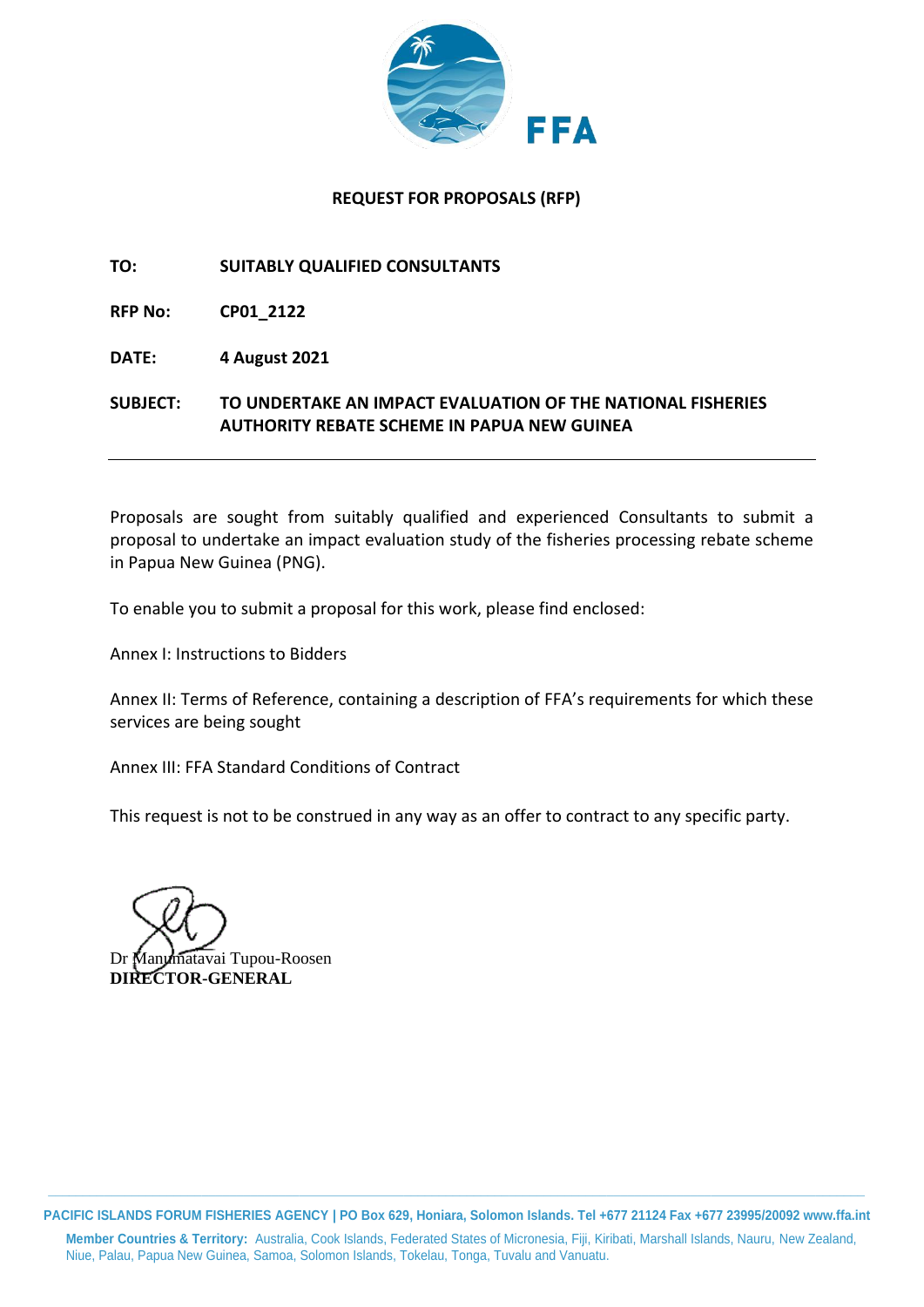

### **REQUEST FOR PROPOSALS (RFP)**

### **TO: SUITABLY QUALIFIED CONSULTANTS**

**RFP No: CP01\_2122**

**DATE: 4 August 2021**

**SUBJECT: TO UNDERTAKE AN IMPACT EVALUATION OF THE NATIONAL FISHERIES AUTHORITY REBATE SCHEME IN PAPUA NEW GUINEA**

Proposals are sought from suitably qualified and experienced Consultants to submit a proposal to undertake an impact evaluation study of the fisheries processing rebate scheme in Papua New Guinea (PNG).

To enable you to submit a proposal for this work, please find enclosed:

Annex I: Instructions to Bidders

Annex II: Terms of Reference, containing a description of FFA's requirements for which these services are being sought

Annex III: FFA Standard Conditions of Contract

This request is not to be construed in any way as an offer to contract to any specific party.

matavai Tupou-Roosen **DIRECTOR-GENERAL**

**\_\_\_\_\_\_\_\_\_\_\_\_\_\_\_\_\_\_\_\_\_\_\_\_\_\_\_\_\_\_\_\_\_\_\_\_\_\_\_\_\_\_\_\_\_\_\_\_\_\_\_\_\_\_\_\_\_\_\_\_\_\_\_\_\_\_\_\_\_\_\_\_\_\_\_\_\_\_\_\_\_\_\_\_\_\_\_\_\_\_\_\_\_\_\_\_\_\_\_\_\_\_\_\_\_\_\_\_\_\_\_\_\_\_\_\_\_ PACIFIC ISLANDS FORUM FISHERIES AGENCY | PO Box 629, Honiara, Solomon Islands. Tel +677 21124 Fax +677 23995/20092 www.ffa.int**

**Member Countries & Territory:** Australia, Cook Islands, Federated States of Micronesia, Fiji, Kiribati, Marshall Islands, Nauru, New Zealand, Niue, Palau, Papua New Guinea, Samoa, Solomon Islands, Tokelau, Tonga, Tuvalu and Vanuatu.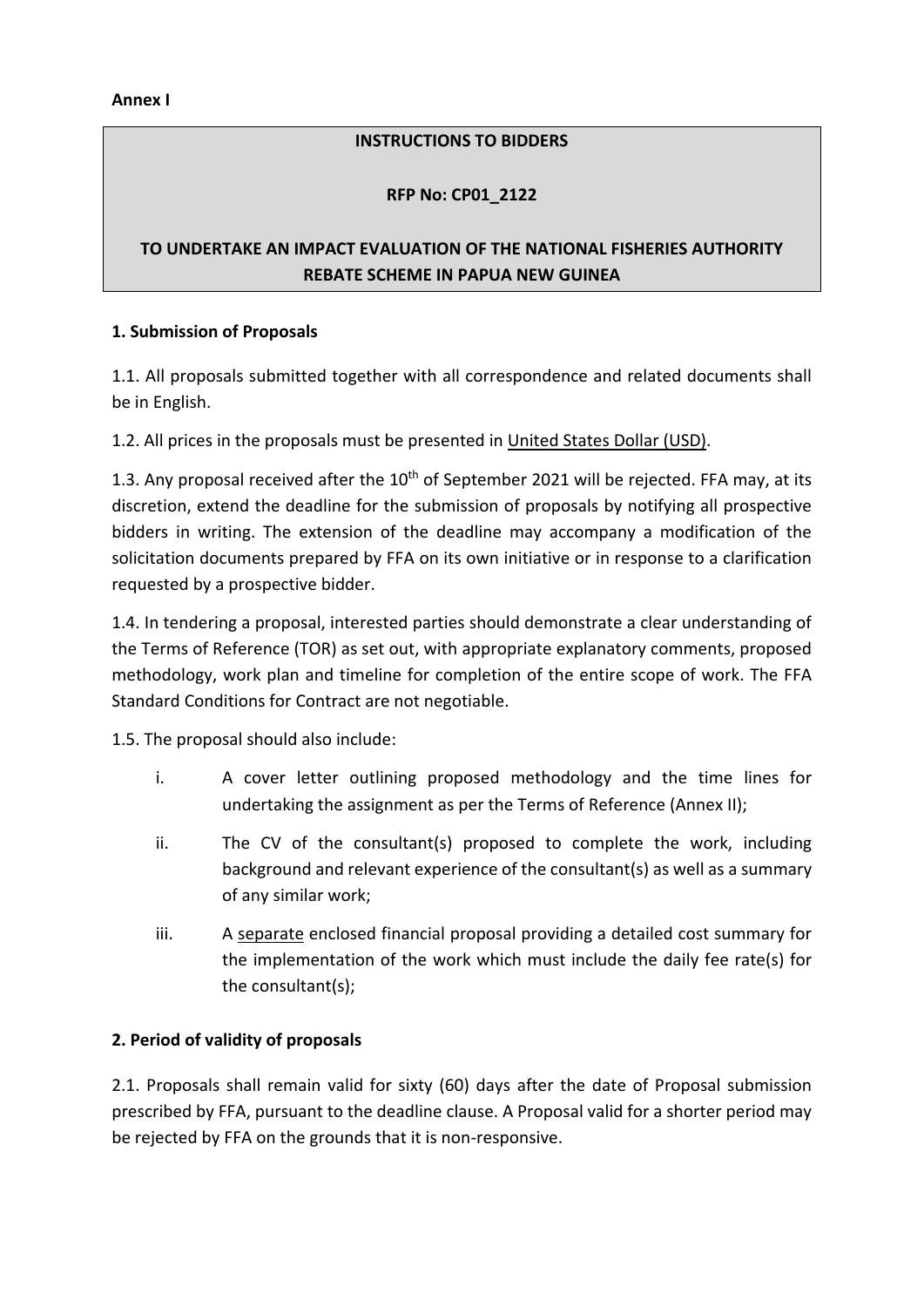**Annex I**

#### **INSTRUCTIONS TO BIDDERS**

### **RFP No: CP01\_2122**

# **TO UNDERTAKE AN IMPACT EVALUATION OF THE NATIONAL FISHERIES AUTHORITY REBATE SCHEME IN PAPUA NEW GUINEA**

### **1. Submission of Proposals**

1.1. All proposals submitted together with all correspondence and related documents shall be in English.

1.2. All prices in the proposals must be presented in United States Dollar (USD).

1.3. Any proposal received after the  $10<sup>th</sup>$  of September 2021 will be rejected. FFA may, at its discretion, extend the deadline for the submission of proposals by notifying all prospective bidders in writing. The extension of the deadline may accompany a modification of the solicitation documents prepared by FFA on its own initiative or in response to a clarification requested by a prospective bidder.

1.4. In tendering a proposal, interested parties should demonstrate a clear understanding of the Terms of Reference (TOR) as set out, with appropriate explanatory comments, proposed methodology, work plan and timeline for completion of the entire scope of work. The FFA Standard Conditions for Contract are not negotiable.

1.5. The proposal should also include:

- i. A cover letter outlining proposed methodology and the time lines for undertaking the assignment as per the Terms of Reference (Annex II);
- ii. The CV of the consultant(s) proposed to complete the work, including background and relevant experience of the consultant(s) as well as a summary of any similar work;
- iii. A separate enclosed financial proposal providing a detailed cost summary for the implementation of the work which must include the daily fee rate(s) for the consultant(s);

## **2. Period of validity of proposals**

2.1. Proposals shall remain valid for sixty (60) days after the date of Proposal submission prescribed by FFA, pursuant to the deadline clause. A Proposal valid for a shorter period may be rejected by FFA on the grounds that it is non-responsive.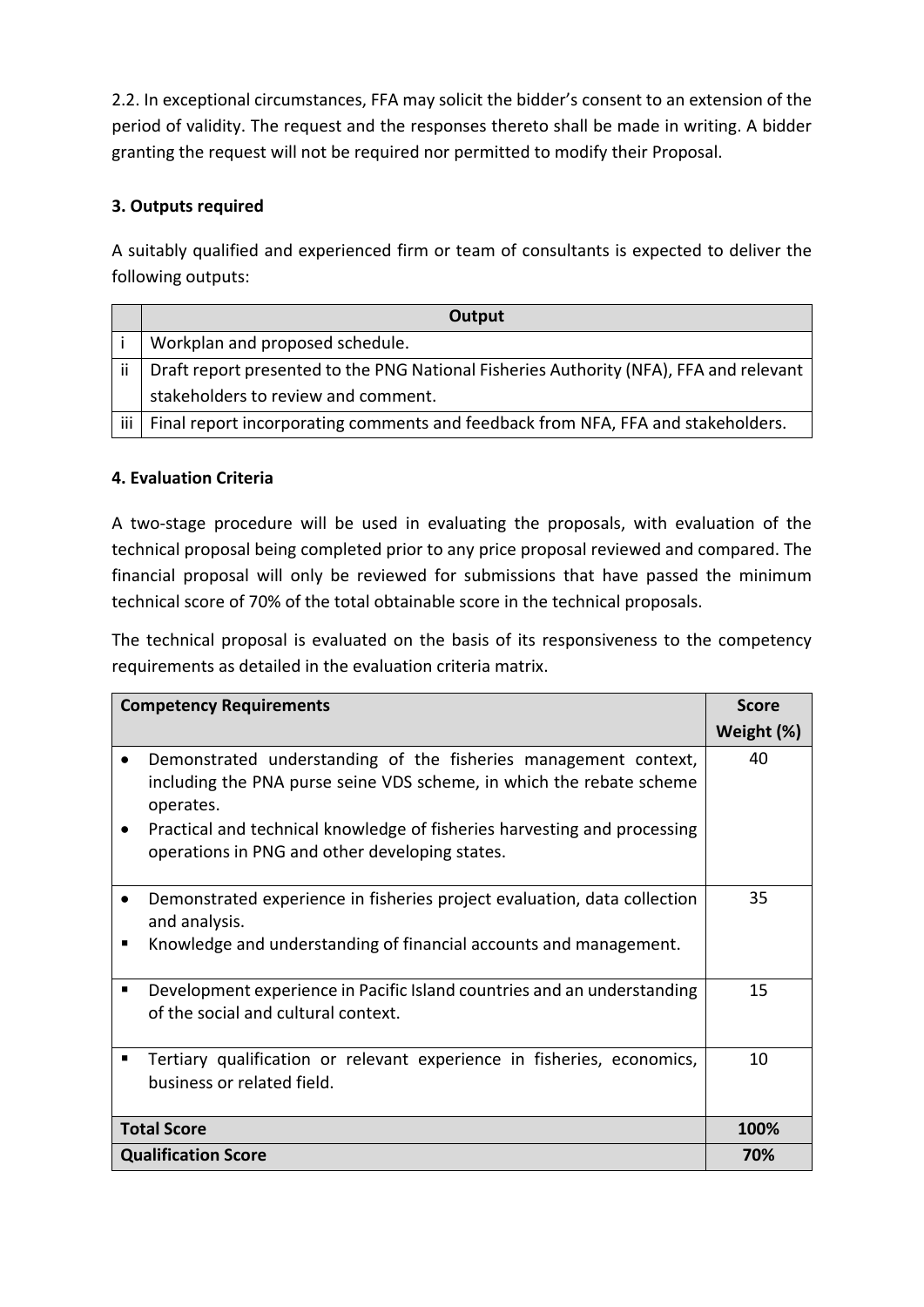2.2. In exceptional circumstances, FFA may solicit the bidder's consent to an extension of the period of validity. The request and the responses thereto shall be made in writing. A bidder granting the request will not be required nor permitted to modify their Proposal.

# **3. Outputs required**

A suitably qualified and experienced firm or team of consultants is expected to deliver the following outputs:

|       | Output                                                                                 |  |  |
|-------|----------------------------------------------------------------------------------------|--|--|
|       | Workplan and proposed schedule.                                                        |  |  |
| Ϊİ    | Draft report presented to the PNG National Fisheries Authority (NFA), FFA and relevant |  |  |
|       | stakeholders to review and comment.                                                    |  |  |
| iii I | Final report incorporating comments and feedback from NFA, FFA and stakeholders.       |  |  |

## **4. Evaluation Criteria**

A two-stage procedure will be used in evaluating the proposals, with evaluation of the technical proposal being completed prior to any price proposal reviewed and compared. The financial proposal will only be reviewed for submissions that have passed the minimum technical score of 70% of the total obtainable score in the technical proposals.

The technical proposal is evaluated on the basis of its responsiveness to the competency requirements as detailed in the evaluation criteria matrix.

| <b>Competency Requirements</b> |                                                                                                                                                                                                                                                                                    | <b>Score</b> |
|--------------------------------|------------------------------------------------------------------------------------------------------------------------------------------------------------------------------------------------------------------------------------------------------------------------------------|--------------|
|                                |                                                                                                                                                                                                                                                                                    | Weight (%)   |
|                                | Demonstrated understanding of the fisheries management context,<br>including the PNA purse seine VDS scheme, in which the rebate scheme<br>operates.<br>Practical and technical knowledge of fisheries harvesting and processing<br>operations in PNG and other developing states. | 40           |
|                                | Demonstrated experience in fisheries project evaluation, data collection<br>and analysis.<br>Knowledge and understanding of financial accounts and management.                                                                                                                     | 35           |
| п                              | Development experience in Pacific Island countries and an understanding<br>of the social and cultural context.                                                                                                                                                                     | 15           |
|                                | Tertiary qualification or relevant experience in fisheries, economics,<br>business or related field.                                                                                                                                                                               | 10           |
| <b>Total Score</b>             |                                                                                                                                                                                                                                                                                    | 100%         |
| <b>Qualification Score</b>     |                                                                                                                                                                                                                                                                                    | 70%          |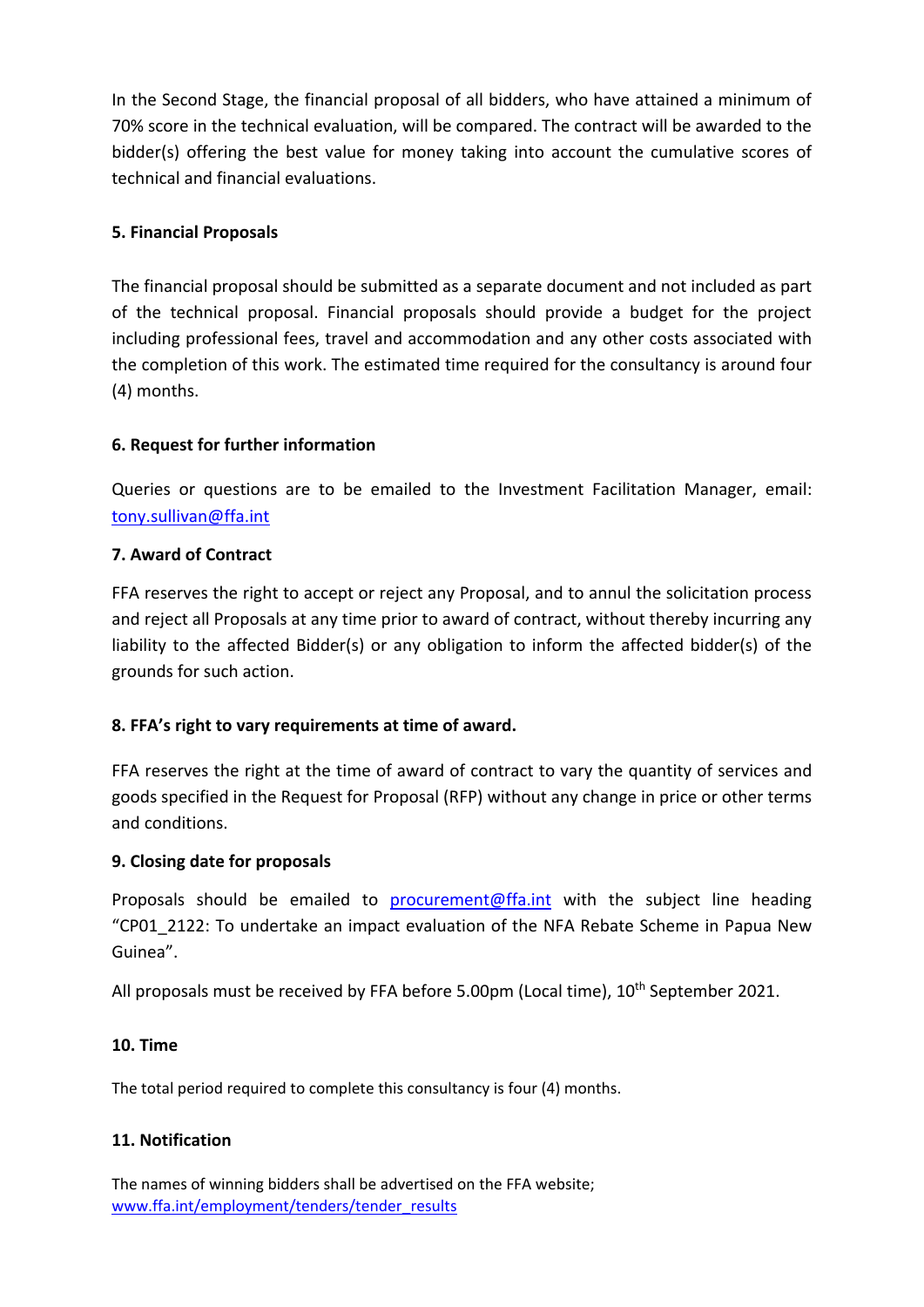In the Second Stage, the financial proposal of all bidders, who have attained a minimum of 70% score in the technical evaluation, will be compared. The contract will be awarded to the bidder(s) offering the best value for money taking into account the cumulative scores of technical and financial evaluations.

# **5. Financial Proposals**

The financial proposal should be submitted as a separate document and not included as part of the technical proposal. Financial proposals should provide a budget for the project including professional fees, travel and accommodation and any other costs associated with the completion of this work. The estimated time required for the consultancy is around four (4) months.

# **6. Request for further information**

Queries or questions are to be emailed to the Investment Facilitation Manager, email: [tony.sullivan@ffa.int](mailto:tony.sullivan@ffa.int)

# **7. Award of Contract**

FFA reserves the right to accept or reject any Proposal, and to annul the solicitation process and reject all Proposals at any time prior to award of contract, without thereby incurring any liability to the affected Bidder(s) or any obligation to inform the affected bidder(s) of the grounds for such action.

## **8. FFA's right to vary requirements at time of award.**

FFA reserves the right at the time of award of contract to vary the quantity of services and goods specified in the Request for Proposal (RFP) without any change in price or other terms and conditions.

## **9. Closing date for proposals**

Proposals should be emailed to [procurement@ffa.int](mailto:procurement@ffa.int) with the subject line heading "CP01\_2122: To undertake an impact evaluation of the NFA Rebate Scheme in Papua New Guinea".

All proposals must be received by FFA before 5.00pm (Local time), 10<sup>th</sup> September 2021.

## **10. Time**

The total period required to complete this consultancy is four (4) months.

## **11. Notification**

The names of winning bidders shall be advertised on the FFA website; [www.ffa.int/employment/tenders/tender\\_results](http://www.ffa.int/employment/tenders/tender_results)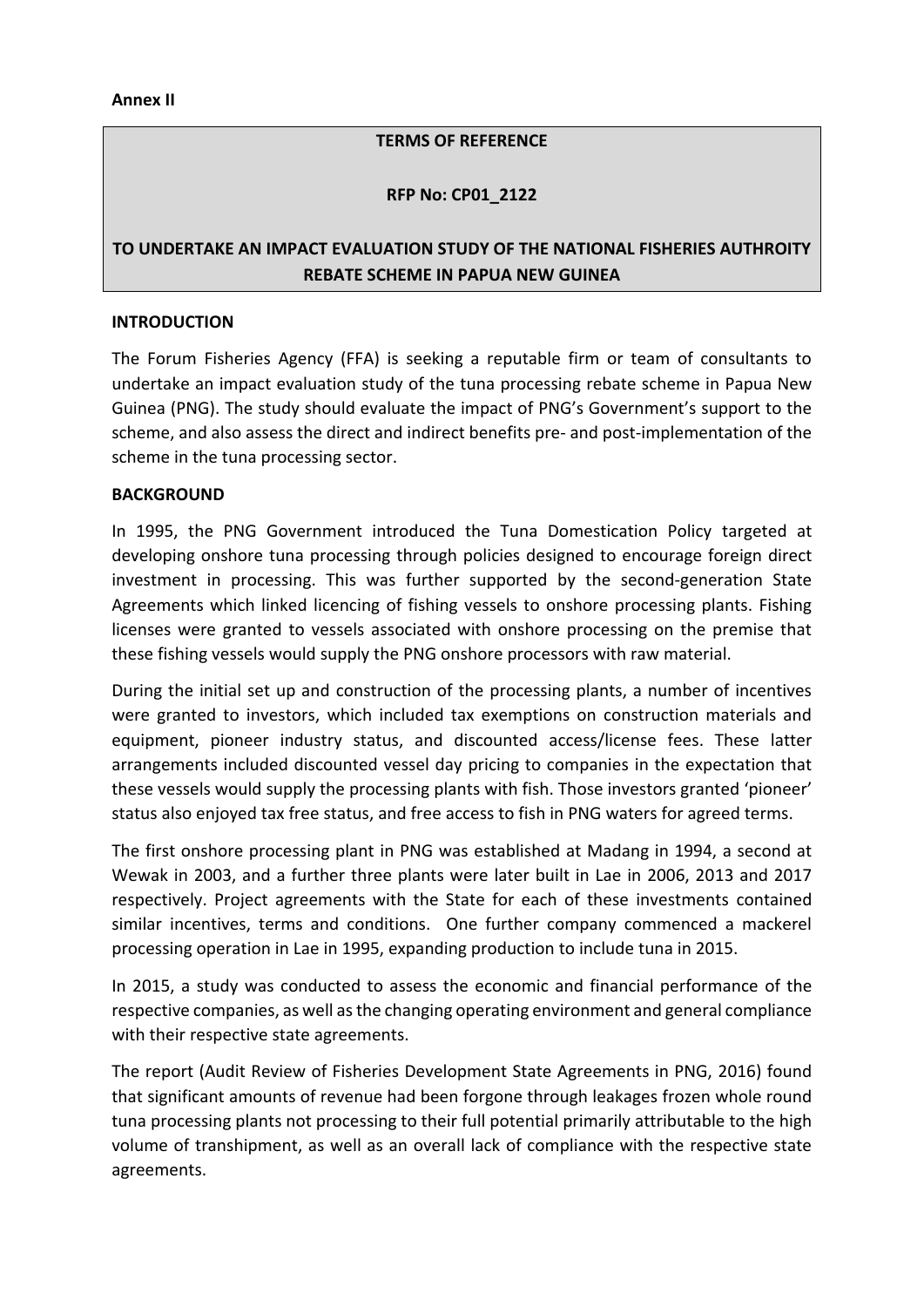**Annex II**

#### **TERMS OF REFERENCE**

#### **RFP No: CP01\_2122**

# **TO UNDERTAKE AN IMPACT EVALUATION STUDY OF THE NATIONAL FISHERIES AUTHROITY REBATE SCHEME IN PAPUA NEW GUINEA**

#### **INTRODUCTION**

The Forum Fisheries Agency (FFA) is seeking a reputable firm or team of consultants to undertake an impact evaluation study of the tuna processing rebate scheme in Papua New Guinea (PNG). The study should evaluate the impact of PNG's Government's support to the scheme, and also assess the direct and indirect benefits pre- and post-implementation of the scheme in the tuna processing sector.

#### **BACKGROUND**

In 1995, the PNG Government introduced the Tuna Domestication Policy targeted at developing onshore tuna processing through policies designed to encourage foreign direct investment in processing. This was further supported by the second-generation State Agreements which linked licencing of fishing vessels to onshore processing plants. Fishing licenses were granted to vessels associated with onshore processing on the premise that these fishing vessels would supply the PNG onshore processors with raw material.

During the initial set up and construction of the processing plants, a number of incentives were granted to investors, which included tax exemptions on construction materials and equipment, pioneer industry status, and discounted access/license fees. These latter arrangements included discounted vessel day pricing to companies in the expectation that these vessels would supply the processing plants with fish. Those investors granted 'pioneer' status also enjoyed tax free status, and free access to fish in PNG waters for agreed terms.

The first onshore processing plant in PNG was established at Madang in 1994, a second at Wewak in 2003, and a further three plants were later built in Lae in 2006, 2013 and 2017 respectively. Project agreements with the State for each of these investments contained similar incentives, terms and conditions. One further company commenced a mackerel processing operation in Lae in 1995, expanding production to include tuna in 2015.

In 2015, a study was conducted to assess the economic and financial performance of the respective companies, as well as the changing operating environment and general compliance with their respective state agreements.

The report (Audit Review of Fisheries Development State Agreements in PNG, 2016) found that significant amounts of revenue had been forgone through leakages frozen whole round tuna processing plants not processing to their full potential primarily attributable to the high volume of transhipment, as well as an overall lack of compliance with the respective state agreements.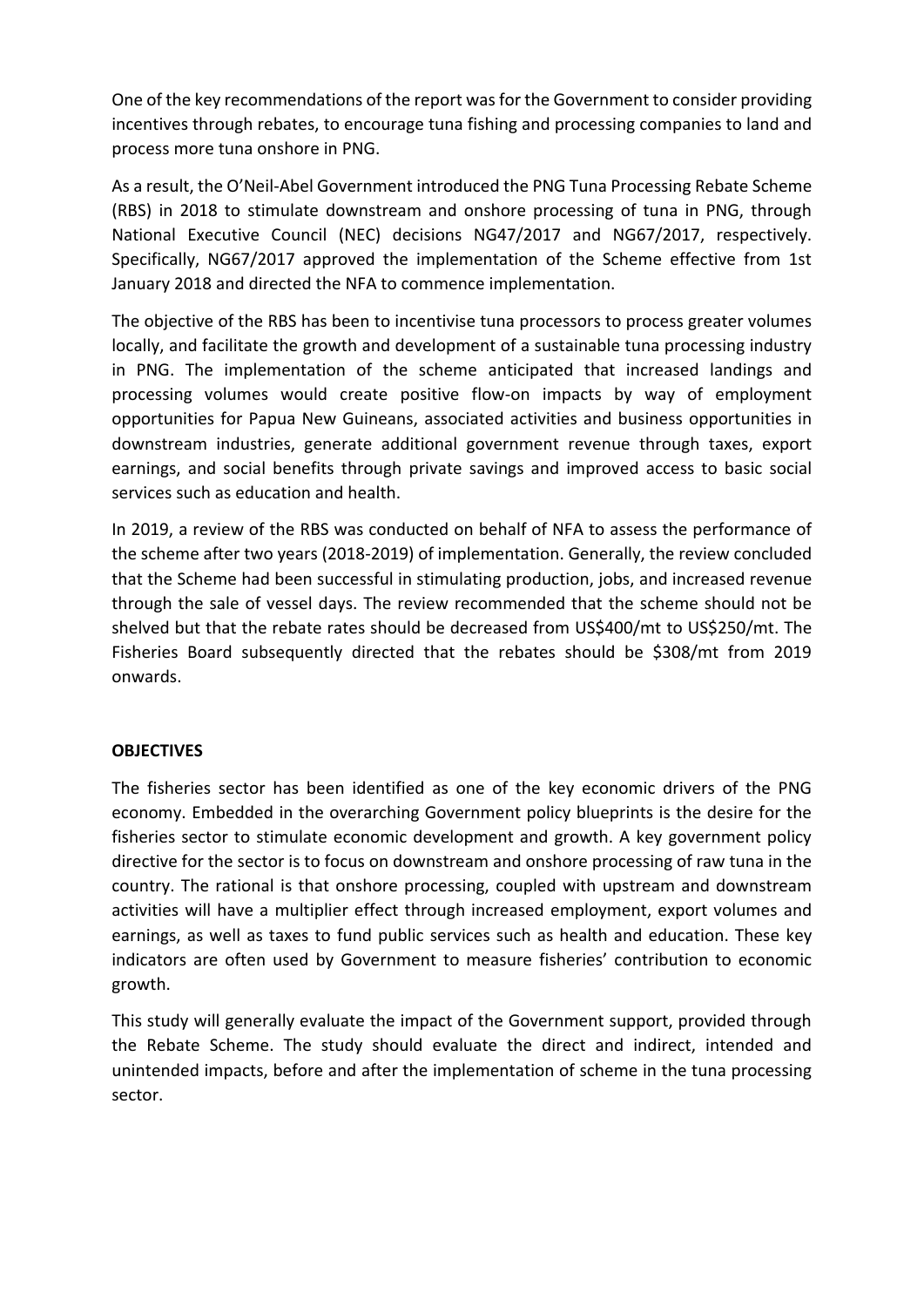One of the key recommendations of the report was for the Government to consider providing incentives through rebates, to encourage tuna fishing and processing companies to land and process more tuna onshore in PNG.

As a result, the O'Neil-Abel Government introduced the PNG Tuna Processing Rebate Scheme (RBS) in 2018 to stimulate downstream and onshore processing of tuna in PNG, through National Executive Council (NEC) decisions NG47/2017 and NG67/2017, respectively. Specifically, NG67/2017 approved the implementation of the Scheme effective from 1st January 2018 and directed the NFA to commence implementation.

The objective of the RBS has been to incentivise tuna processors to process greater volumes locally, and facilitate the growth and development of a sustainable tuna processing industry in PNG. The implementation of the scheme anticipated that increased landings and processing volumes would create positive flow-on impacts by way of employment opportunities for Papua New Guineans, associated activities and business opportunities in downstream industries, generate additional government revenue through taxes, export earnings, and social benefits through private savings and improved access to basic social services such as education and health.

In 2019, a review of the RBS was conducted on behalf of NFA to assess the performance of the scheme after two years (2018-2019) of implementation. Generally, the review concluded that the Scheme had been successful in stimulating production, jobs, and increased revenue through the sale of vessel days. The review recommended that the scheme should not be shelved but that the rebate rates should be decreased from US\$400/mt to US\$250/mt. The Fisheries Board subsequently directed that the rebates should be \$308/mt from 2019 onwards.

## **OBJECTIVES**

The fisheries sector has been identified as one of the key economic drivers of the PNG economy. Embedded in the overarching Government policy blueprints is the desire for the fisheries sector to stimulate economic development and growth. A key government policy directive for the sector is to focus on downstream and onshore processing of raw tuna in the country. The rational is that onshore processing, coupled with upstream and downstream activities will have a multiplier effect through increased employment, export volumes and earnings, as well as taxes to fund public services such as health and education. These key indicators are often used by Government to measure fisheries' contribution to economic growth.

This study will generally evaluate the impact of the Government support, provided through the Rebate Scheme. The study should evaluate the direct and indirect, intended and unintended impacts, before and after the implementation of scheme in the tuna processing sector.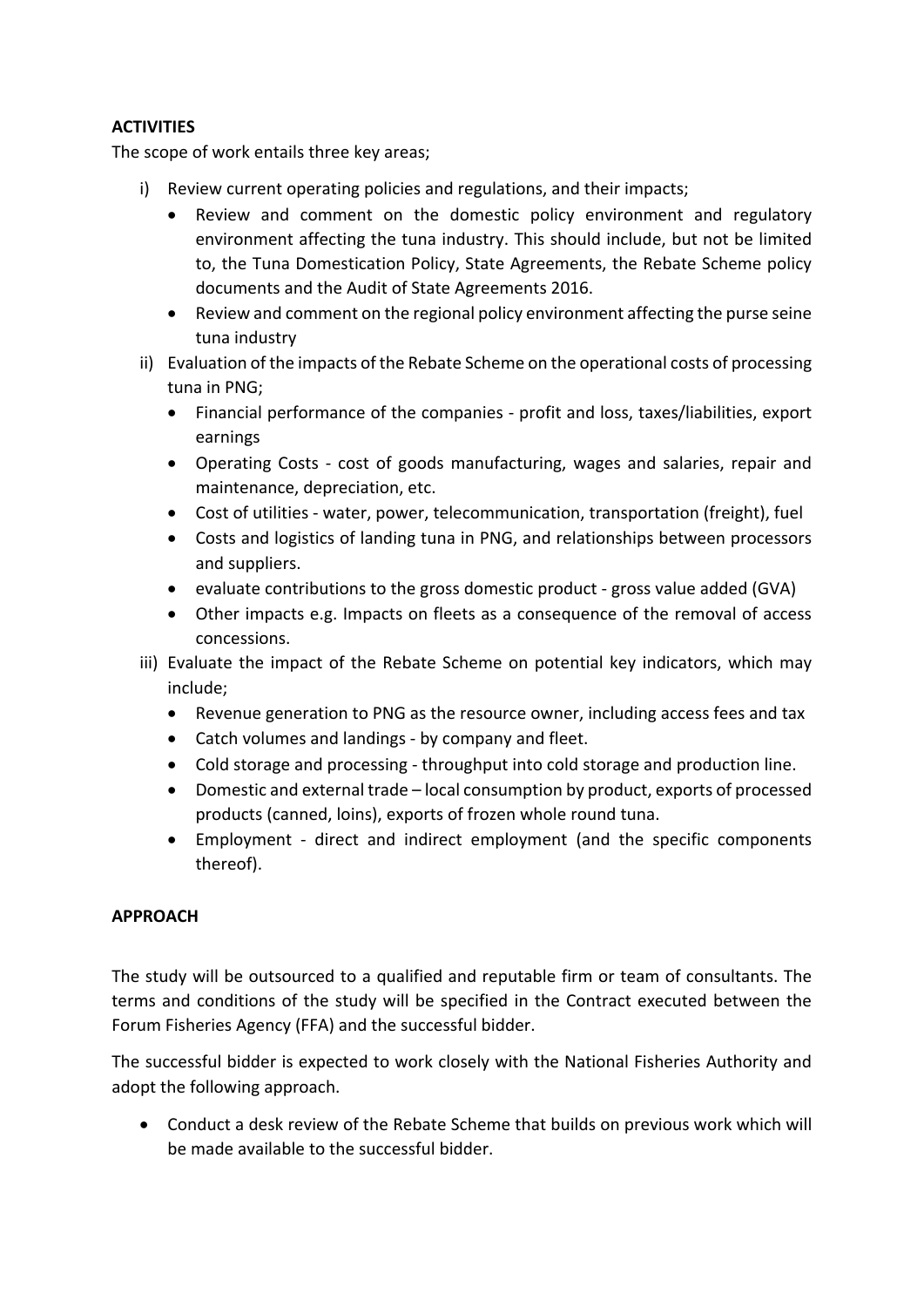## **ACTIVITIES**

The scope of work entails three key areas;

- i) Review current operating policies and regulations, and their impacts;
	- Review and comment on the domestic policy environment and regulatory environment affecting the tuna industry. This should include, but not be limited to, the Tuna Domestication Policy, State Agreements, the Rebate Scheme policy documents and the Audit of State Agreements 2016.
	- Review and comment on the regional policy environment affecting the purse seine tuna industry
- ii) Evaluation of the impacts of the Rebate Scheme on the operational costs of processing tuna in PNG;
	- Financial performance of the companies profit and loss, taxes/liabilities, export earnings
	- Operating Costs cost of goods manufacturing, wages and salaries, repair and maintenance, depreciation, etc.
	- Cost of utilities water, power, telecommunication, transportation (freight), fuel
	- Costs and logistics of landing tuna in PNG, and relationships between processors and suppliers.
	- evaluate contributions to the gross domestic product gross value added (GVA)
	- Other impacts e.g. Impacts on fleets as a consequence of the removal of access concessions.
- iii) Evaluate the impact of the Rebate Scheme on potential key indicators, which may include;
	- Revenue generation to PNG as the resource owner, including access fees and tax
	- Catch volumes and landings by company and fleet.
	- Cold storage and processing throughput into cold storage and production line.
	- Domestic and external trade local consumption by product, exports of processed products (canned, loins), exports of frozen whole round tuna.
	- Employment direct and indirect employment (and the specific components thereof).

## **APPROACH**

The study will be outsourced to a qualified and reputable firm or team of consultants. The terms and conditions of the study will be specified in the Contract executed between the Forum Fisheries Agency (FFA) and the successful bidder.

The successful bidder is expected to work closely with the National Fisheries Authority and adopt the following approach.

 Conduct a desk review of the Rebate Scheme that builds on previous work which will be made available to the successful bidder.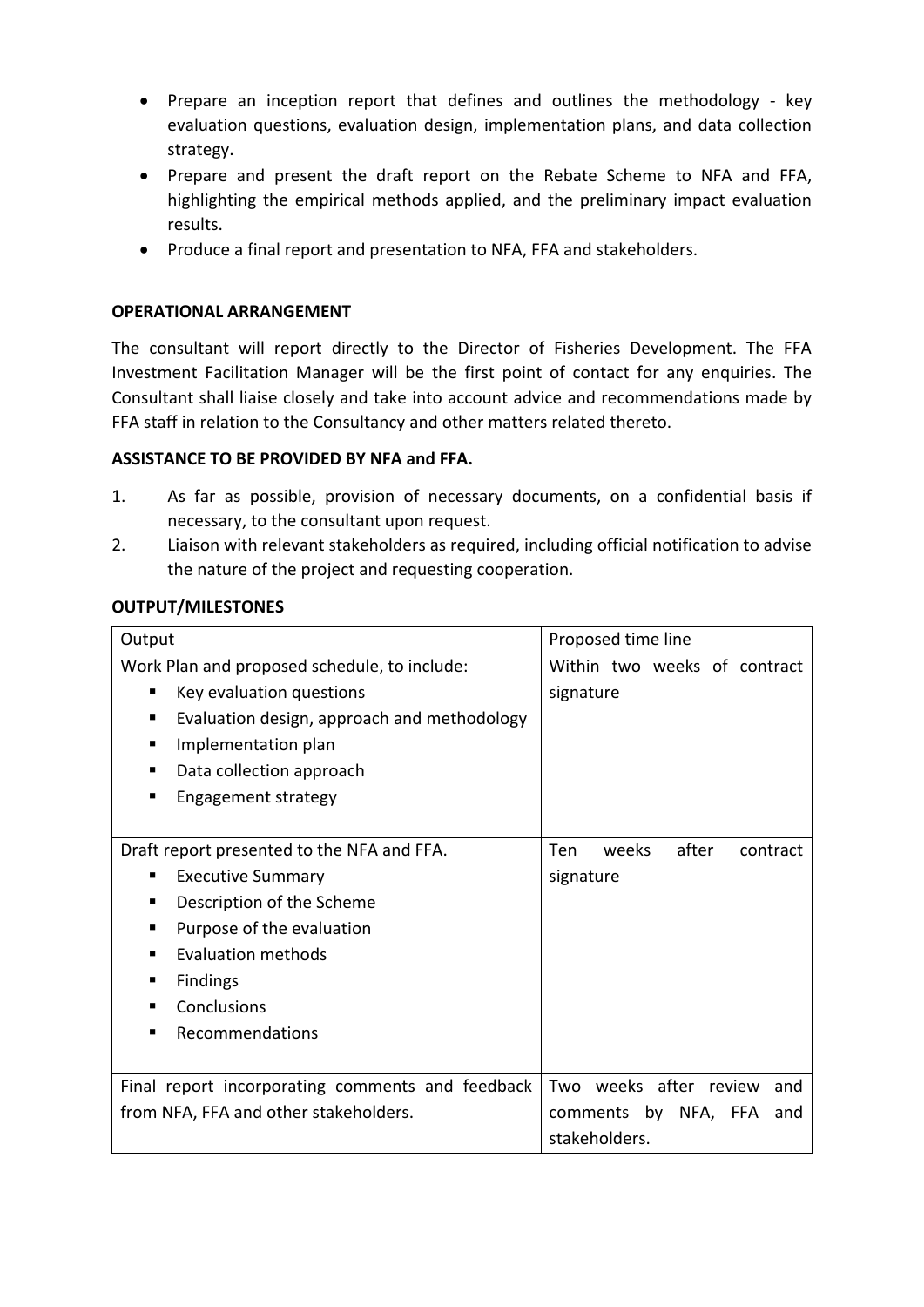- Prepare an inception report that defines and outlines the methodology key evaluation questions, evaluation design, implementation plans, and data collection strategy.
- Prepare and present the draft report on the Rebate Scheme to NFA and FFA, highlighting the empirical methods applied, and the preliminary impact evaluation results.
- Produce a final report and presentation to NFA, FFA and stakeholders.

### **OPERATIONAL ARRANGEMENT**

The consultant will report directly to the Director of Fisheries Development. The FFA Investment Facilitation Manager will be the first point of contact for any enquiries. The Consultant shall liaise closely and take into account advice and recommendations made by FFA staff in relation to the Consultancy and other matters related thereto.

### **ASSISTANCE TO BE PROVIDED BY NFA and FFA.**

- 1. As far as possible, provision of necessary documents, on a confidential basis if necessary, to the consultant upon request.
- 2. Liaison with relevant stakeholders as required, including official notification to advise the nature of the project and requesting cooperation.

#### **OUTPUT/MILESTONES**

| Output                                           | Proposed time line                |
|--------------------------------------------------|-----------------------------------|
| Work Plan and proposed schedule, to include:     | Within two weeks of contract      |
| Key evaluation questions<br>٠                    | signature                         |
| Evaluation design, approach and methodology      |                                   |
| Implementation plan<br>п                         |                                   |
| Data collection approach<br>п                    |                                   |
| Engagement strategy<br>п                         |                                   |
|                                                  |                                   |
| Draft report presented to the NFA and FFA.       | after<br>Ten<br>weeks<br>contract |
| <b>Executive Summary</b><br>٠                    | signature                         |
| Description of the Scheme<br>п                   |                                   |
| Purpose of the evaluation                        |                                   |
| <b>Evaluation methods</b><br>п                   |                                   |
| Findings<br>п                                    |                                   |
| Conclusions<br>п                                 |                                   |
| Recommendations                                  |                                   |
|                                                  |                                   |
| Final report incorporating comments and feedback | Two weeks after review<br>and     |
| from NFA, FFA and other stakeholders.            | comments by NFA, FFA and          |
|                                                  | stakeholders.                     |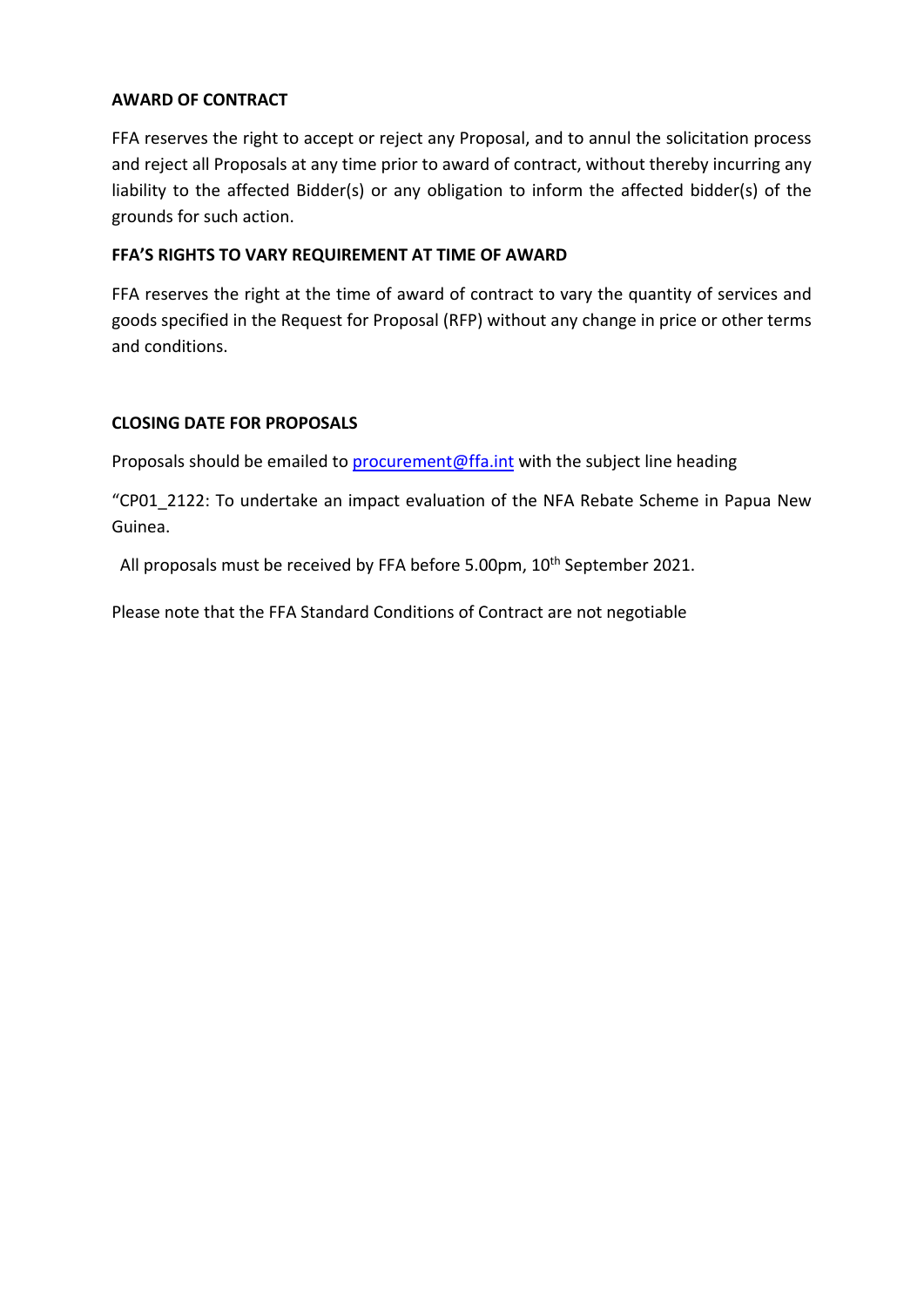### **AWARD OF CONTRACT**

FFA reserves the right to accept or reject any Proposal, and to annul the solicitation process and reject all Proposals at any time prior to award of contract, without thereby incurring any liability to the affected Bidder(s) or any obligation to inform the affected bidder(s) of the grounds for such action.

### **FFA'S RIGHTS TO VARY REQUIREMENT AT TIME OF AWARD**

FFA reserves the right at the time of award of contract to vary the quantity of services and goods specified in the Request for Proposal (RFP) without any change in price or other terms and conditions.

### **CLOSING DATE FOR PROPOSALS**

Proposals should be emailed to **[procurement@ffa.int](mailto:procurement@ffa.int)** with the subject line heading

"CP01\_2122: To undertake an impact evaluation of the NFA Rebate Scheme in Papua New Guinea.

All proposals must be received by FFA before 5.00pm, 10th September 2021.

Please note that the FFA Standard Conditions of Contract are not negotiable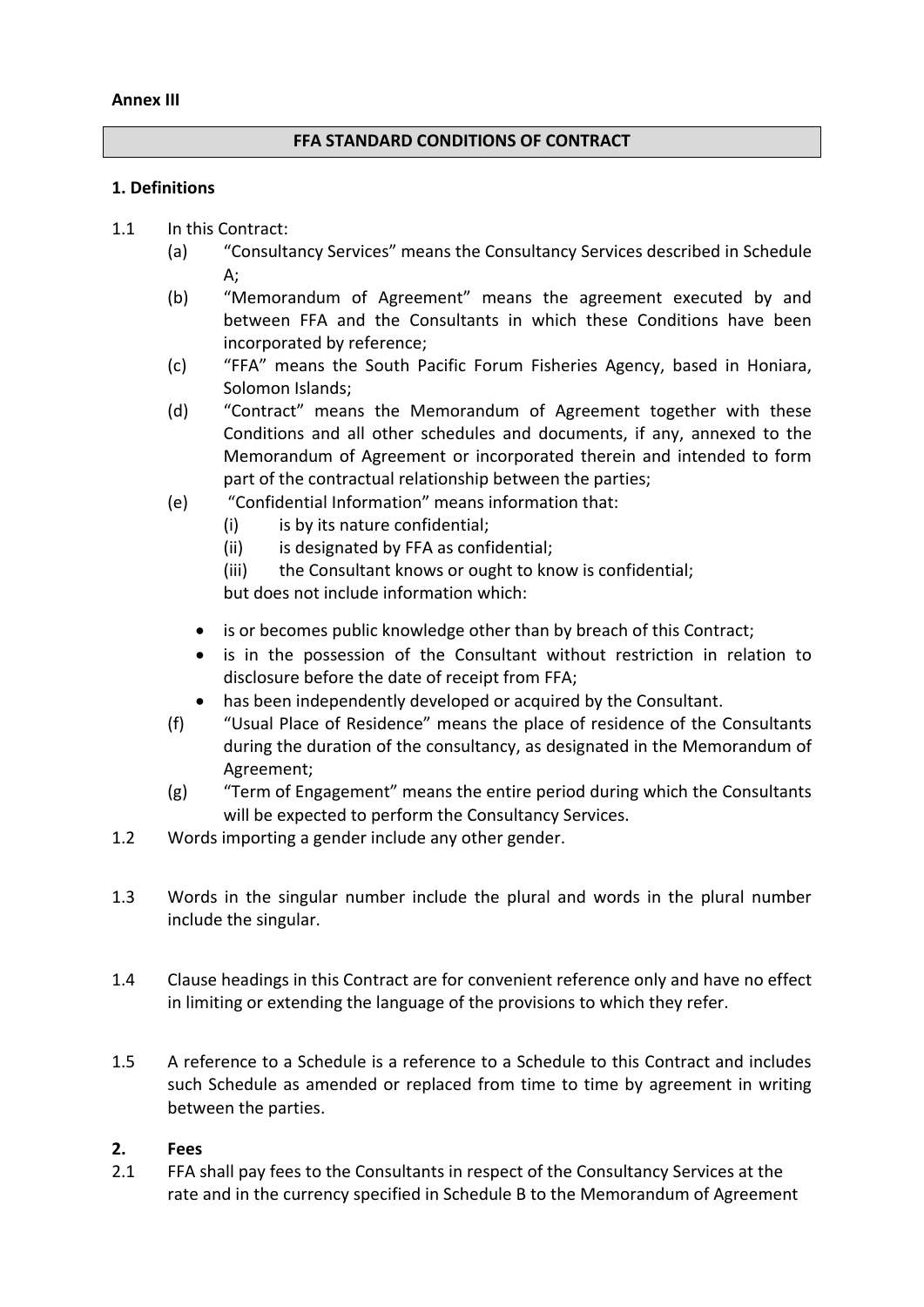#### **Annex III**

### **FFA STANDARD CONDITIONS OF CONTRACT**

#### **1. Definitions**

- 1.1 In this Contract:
	- (a) "Consultancy Services" means the Consultancy Services described in Schedule A;
	- (b) "Memorandum of Agreement" means the agreement executed by and between FFA and the Consultants in which these Conditions have been incorporated by reference;
	- (c) "FFA" means the South Pacific Forum Fisheries Agency, based in Honiara, Solomon Islands;
	- (d) "Contract" means the Memorandum of Agreement together with these Conditions and all other schedules and documents, if any, annexed to the Memorandum of Agreement or incorporated therein and intended to form part of the contractual relationship between the parties;
	- (e) "Confidential Information" means information that:
		- (i) is by its nature confidential;
		- (ii) is designated by FFA as confidential;
		- (iii) the Consultant knows or ought to know is confidential;

but does not include information which:

- is or becomes public knowledge other than by breach of this Contract;
- is in the possession of the Consultant without restriction in relation to disclosure before the date of receipt from FFA;
- has been independently developed or acquired by the Consultant.
- (f) "Usual Place of Residence" means the place of residence of the Consultants during the duration of the consultancy, as designated in the Memorandum of Agreement;
- (g) "Term of Engagement" means the entire period during which the Consultants will be expected to perform the Consultancy Services.
- 1.2 Words importing a gender include any other gender.
- 1.3 Words in the singular number include the plural and words in the plural number include the singular.
- 1.4 Clause headings in this Contract are for convenient reference only and have no effect in limiting or extending the language of the provisions to which they refer.
- 1.5 A reference to a Schedule is a reference to a Schedule to this Contract and includes such Schedule as amended or replaced from time to time by agreement in writing between the parties.

#### **2. Fees**

2.1 FFA shall pay fees to the Consultants in respect of the Consultancy Services at the rate and in the currency specified in Schedule B to the Memorandum of Agreement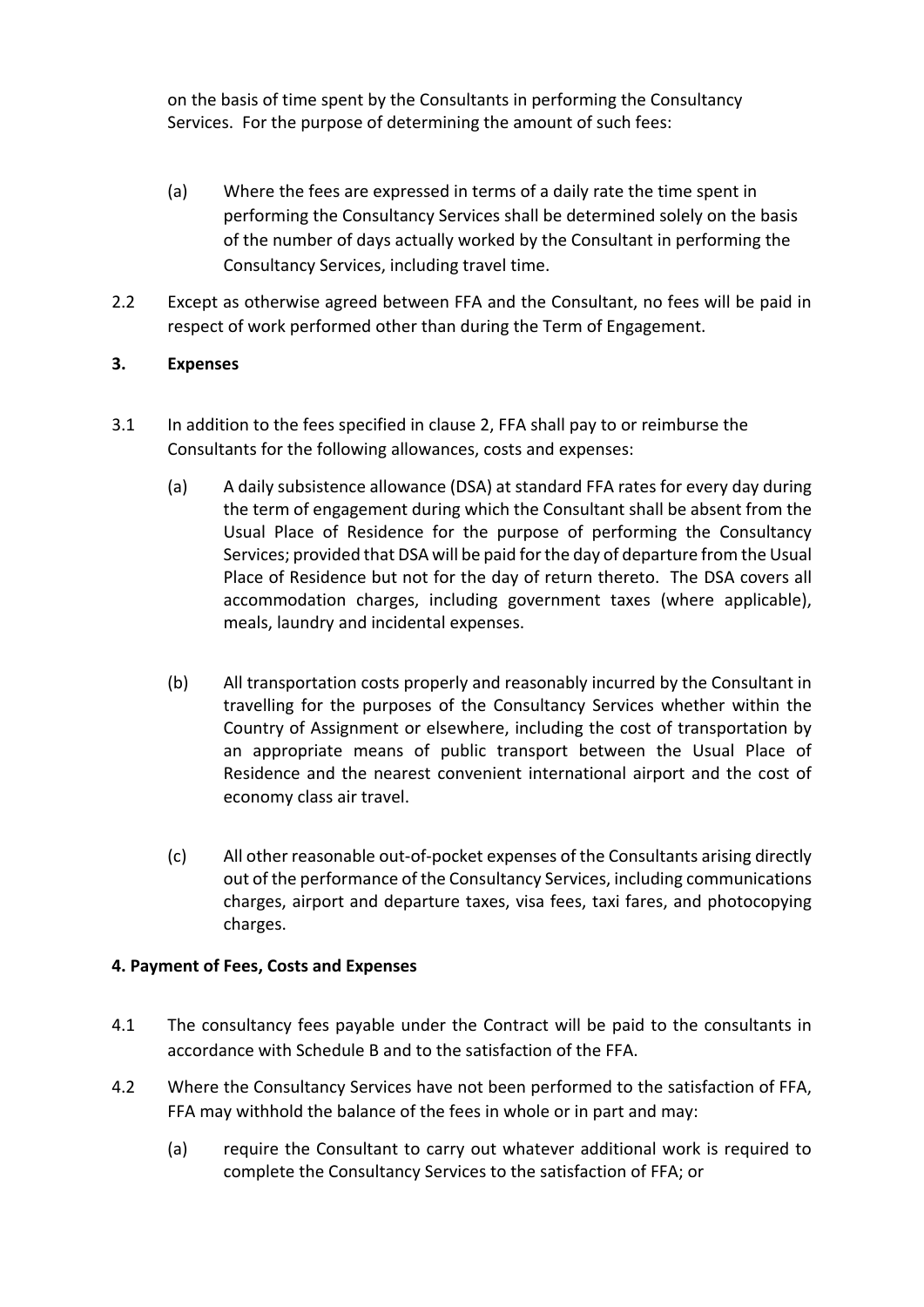on the basis of time spent by the Consultants in performing the Consultancy Services. For the purpose of determining the amount of such fees:

- (a) Where the fees are expressed in terms of a daily rate the time spent in performing the Consultancy Services shall be determined solely on the basis of the number of days actually worked by the Consultant in performing the Consultancy Services, including travel time.
- 2.2 Except as otherwise agreed between FFA and the Consultant, no fees will be paid in respect of work performed other than during the Term of Engagement.

# **3. Expenses**

- 3.1 In addition to the fees specified in clause 2, FFA shall pay to or reimburse the Consultants for the following allowances, costs and expenses:
	- (a) A daily subsistence allowance (DSA) at standard FFA rates for every day during the term of engagement during which the Consultant shall be absent from the Usual Place of Residence for the purpose of performing the Consultancy Services; provided that DSA will be paid for the day of departure from the Usual Place of Residence but not for the day of return thereto. The DSA covers all accommodation charges, including government taxes (where applicable), meals, laundry and incidental expenses.
	- (b) All transportation costs properly and reasonably incurred by the Consultant in travelling for the purposes of the Consultancy Services whether within the Country of Assignment or elsewhere, including the cost of transportation by an appropriate means of public transport between the Usual Place of Residence and the nearest convenient international airport and the cost of economy class air travel.
	- (c) All other reasonable out-of-pocket expenses of the Consultants arising directly out of the performance of the Consultancy Services, including communications charges, airport and departure taxes, visa fees, taxi fares, and photocopying charges.

## **4. Payment of Fees, Costs and Expenses**

- 4.1 The consultancy fees payable under the Contract will be paid to the consultants in accordance with Schedule B and to the satisfaction of the FFA.
- 4.2 Where the Consultancy Services have not been performed to the satisfaction of FFA, FFA may withhold the balance of the fees in whole or in part and may:
	- (a) require the Consultant to carry out whatever additional work is required to complete the Consultancy Services to the satisfaction of FFA; or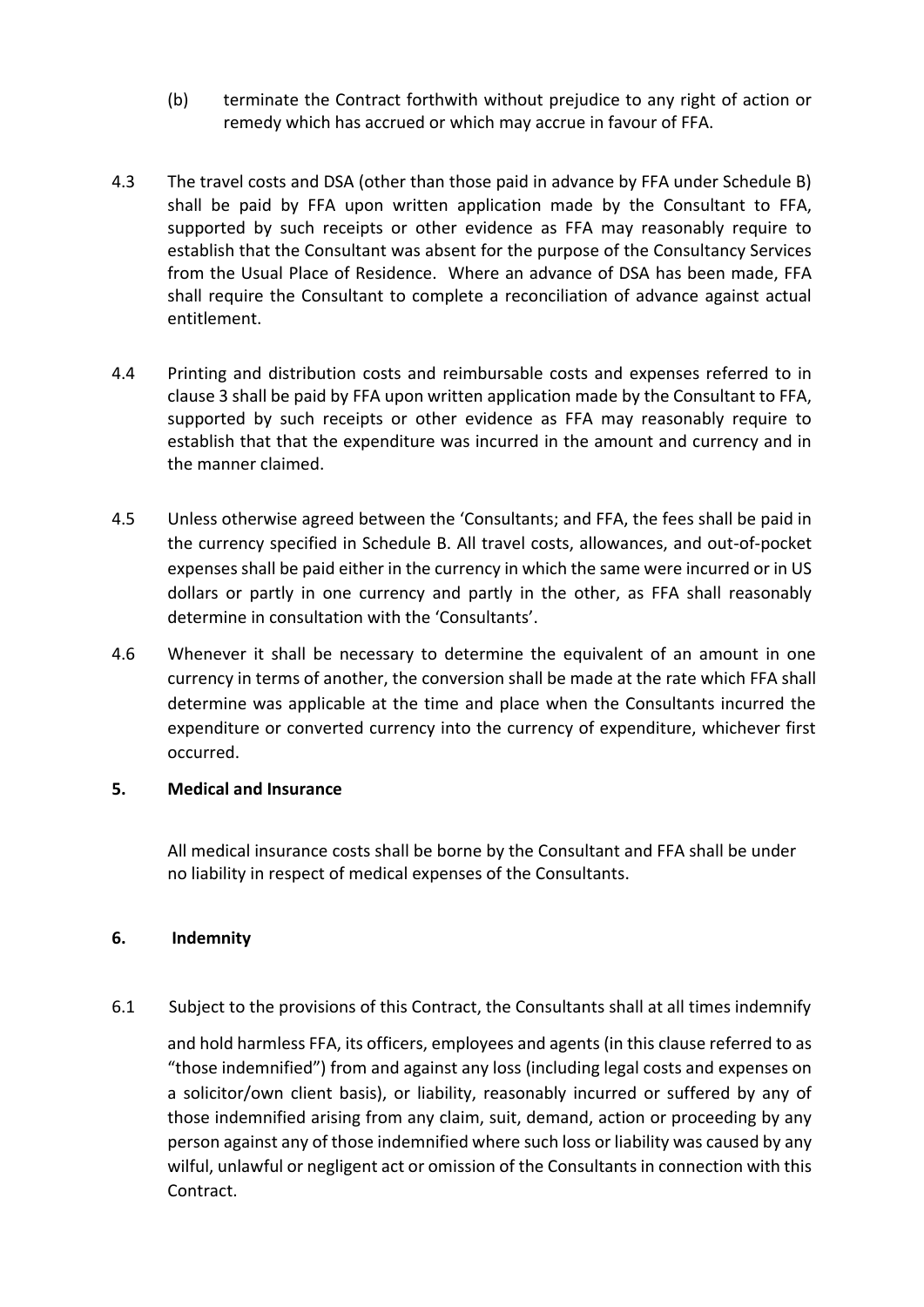- (b) terminate the Contract forthwith without prejudice to any right of action or remedy which has accrued or which may accrue in favour of FFA.
- 4.3 The travel costs and DSA (other than those paid in advance by FFA under Schedule B) shall be paid by FFA upon written application made by the Consultant to FFA, supported by such receipts or other evidence as FFA may reasonably require to establish that the Consultant was absent for the purpose of the Consultancy Services from the Usual Place of Residence. Where an advance of DSA has been made, FFA shall require the Consultant to complete a reconciliation of advance against actual entitlement.
- 4.4 Printing and distribution costs and reimbursable costs and expenses referred to in clause 3 shall be paid by FFA upon written application made by the Consultant to FFA, supported by such receipts or other evidence as FFA may reasonably require to establish that that the expenditure was incurred in the amount and currency and in the manner claimed.
- 4.5 Unless otherwise agreed between the 'Consultants; and FFA, the fees shall be paid in the currency specified in Schedule B. All travel costs, allowances, and out-of-pocket expenses shall be paid either in the currency in which the same were incurred or in US dollars or partly in one currency and partly in the other, as FFA shall reasonably determine in consultation with the 'Consultants'.
- 4.6 Whenever it shall be necessary to determine the equivalent of an amount in one currency in terms of another, the conversion shall be made at the rate which FFA shall determine was applicable at the time and place when the Consultants incurred the expenditure or converted currency into the currency of expenditure, whichever first occurred.

#### **5. Medical and Insurance**

All medical insurance costs shall be borne by the Consultant and FFA shall be under no liability in respect of medical expenses of the Consultants.

## **6. Indemnity**

6.1 Subject to the provisions of this Contract, the Consultants shall at all times indemnify

and hold harmless FFA, its officers, employees and agents (in this clause referred to as "those indemnified") from and against any loss (including legal costs and expenses on a solicitor/own client basis), or liability, reasonably incurred or suffered by any of those indemnified arising from any claim, suit, demand, action or proceeding by any person against any of those indemnified where such loss or liability was caused by any wilful, unlawful or negligent act or omission of the Consultants in connection with this Contract.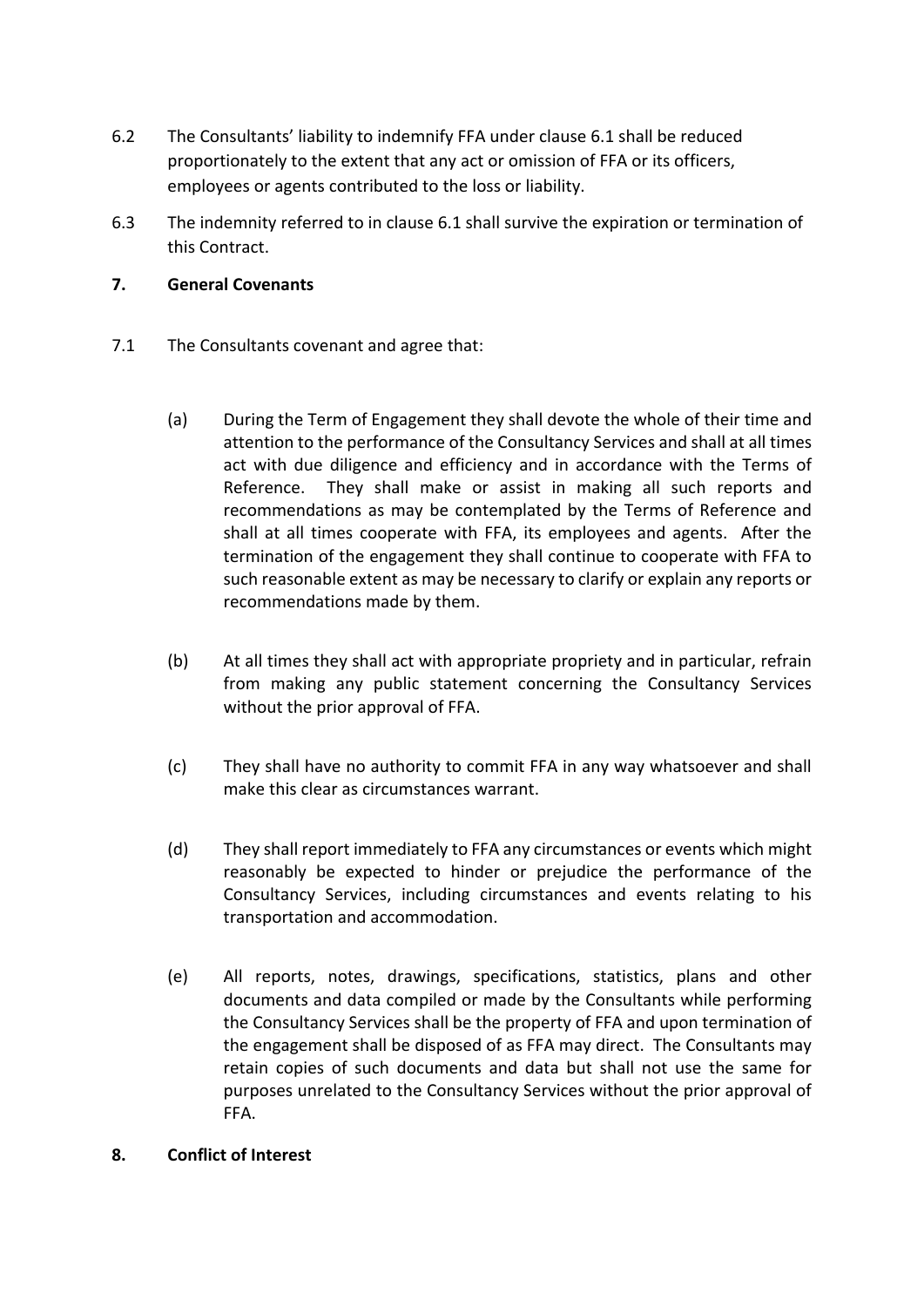- 6.2 The Consultants' liability to indemnify FFA under clause 6.1 shall be reduced proportionately to the extent that any act or omission of FFA or its officers, employees or agents contributed to the loss or liability.
- 6.3 The indemnity referred to in clause 6.1 shall survive the expiration or termination of this Contract.

### **7. General Covenants**

- 7.1 The Consultants covenant and agree that:
	- (a) During the Term of Engagement they shall devote the whole of their time and attention to the performance of the Consultancy Services and shall at all times act with due diligence and efficiency and in accordance with the Terms of Reference. They shall make or assist in making all such reports and recommendations as may be contemplated by the Terms of Reference and shall at all times cooperate with FFA, its employees and agents. After the termination of the engagement they shall continue to cooperate with FFA to such reasonable extent as may be necessary to clarify or explain any reports or recommendations made by them.
	- (b) At all times they shall act with appropriate propriety and in particular, refrain from making any public statement concerning the Consultancy Services without the prior approval of FFA.
	- (c) They shall have no authority to commit FFA in any way whatsoever and shall make this clear as circumstances warrant.
	- (d) They shall report immediately to FFA any circumstances or events which might reasonably be expected to hinder or prejudice the performance of the Consultancy Services, including circumstances and events relating to his transportation and accommodation.
	- (e) All reports, notes, drawings, specifications, statistics, plans and other documents and data compiled or made by the Consultants while performing the Consultancy Services shall be the property of FFA and upon termination of the engagement shall be disposed of as FFA may direct. The Consultants may retain copies of such documents and data but shall not use the same for purposes unrelated to the Consultancy Services without the prior approval of FFA.
- **8. Conflict of Interest**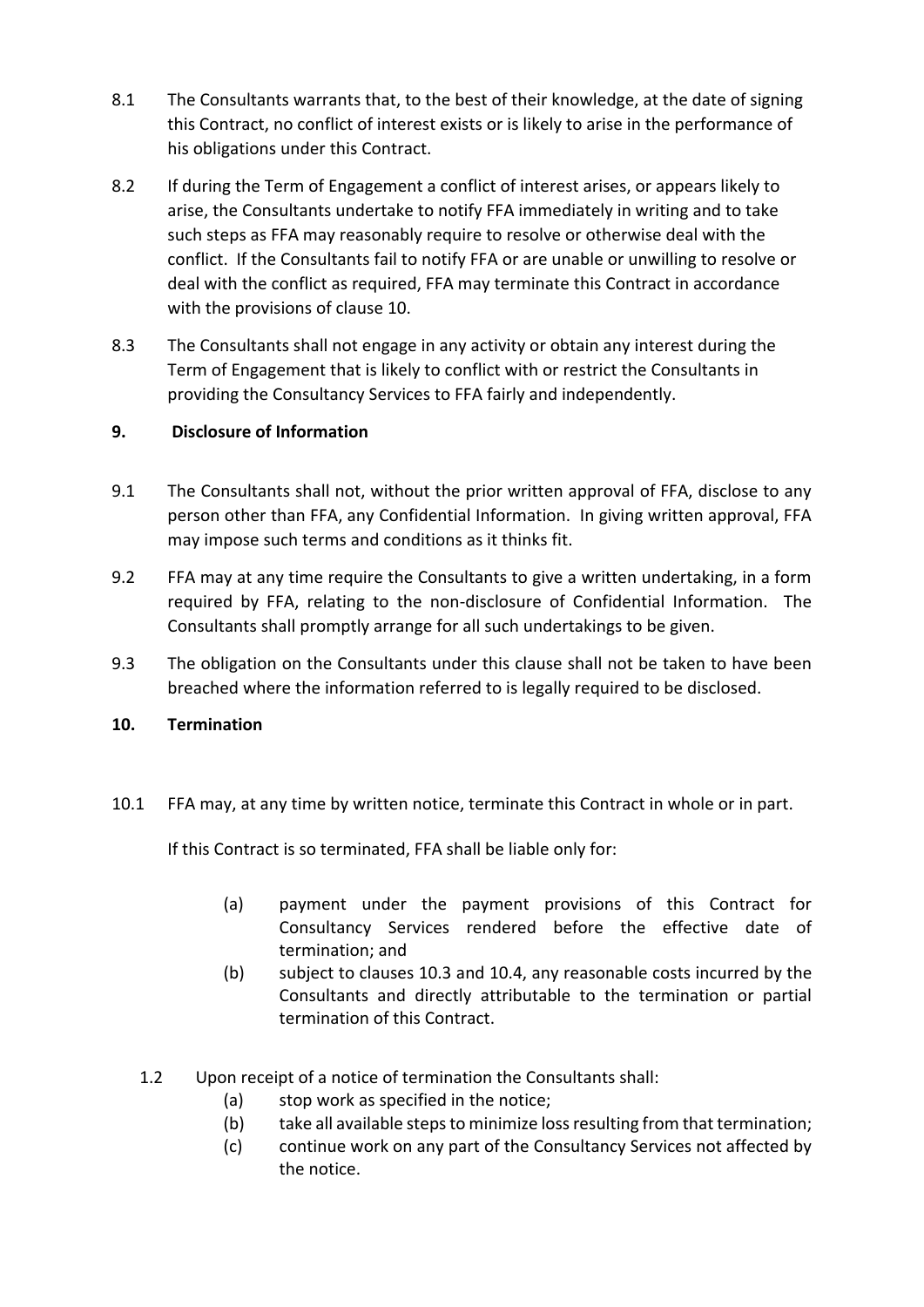- 8.1 The Consultants warrants that, to the best of their knowledge, at the date of signing this Contract, no conflict of interest exists or is likely to arise in the performance of his obligations under this Contract.
- 8.2 If during the Term of Engagement a conflict of interest arises, or appears likely to arise, the Consultants undertake to notify FFA immediately in writing and to take such steps as FFA may reasonably require to resolve or otherwise deal with the conflict. If the Consultants fail to notify FFA or are unable or unwilling to resolve or deal with the conflict as required, FFA may terminate this Contract in accordance with the provisions of clause 10.
- 8.3 The Consultants shall not engage in any activity or obtain any interest during the Term of Engagement that is likely to conflict with or restrict the Consultants in providing the Consultancy Services to FFA fairly and independently.

## **9. Disclosure of Information**

- 9.1 The Consultants shall not, without the prior written approval of FFA, disclose to any person other than FFA, any Confidential Information. In giving written approval, FFA may impose such terms and conditions as it thinks fit.
- 9.2 FFA may at any time require the Consultants to give a written undertaking, in a form required by FFA, relating to the non-disclosure of Confidential Information. The Consultants shall promptly arrange for all such undertakings to be given.
- 9.3 The obligation on the Consultants under this clause shall not be taken to have been breached where the information referred to is legally required to be disclosed.

## **10. Termination**

10.1 FFA may, at any time by written notice, terminate this Contract in whole or in part.

If this Contract is so terminated, FFA shall be liable only for:

- (a) payment under the payment provisions of this Contract for Consultancy Services rendered before the effective date of termination; and
- (b) subject to clauses 10.3 and 10.4, any reasonable costs incurred by the Consultants and directly attributable to the termination or partial termination of this Contract.
- 1.2 Upon receipt of a notice of termination the Consultants shall:
	- (a) stop work as specified in the notice;
	- (b) take all available steps to minimize loss resulting from that termination;
	- (c) continue work on any part of the Consultancy Services not affected by the notice.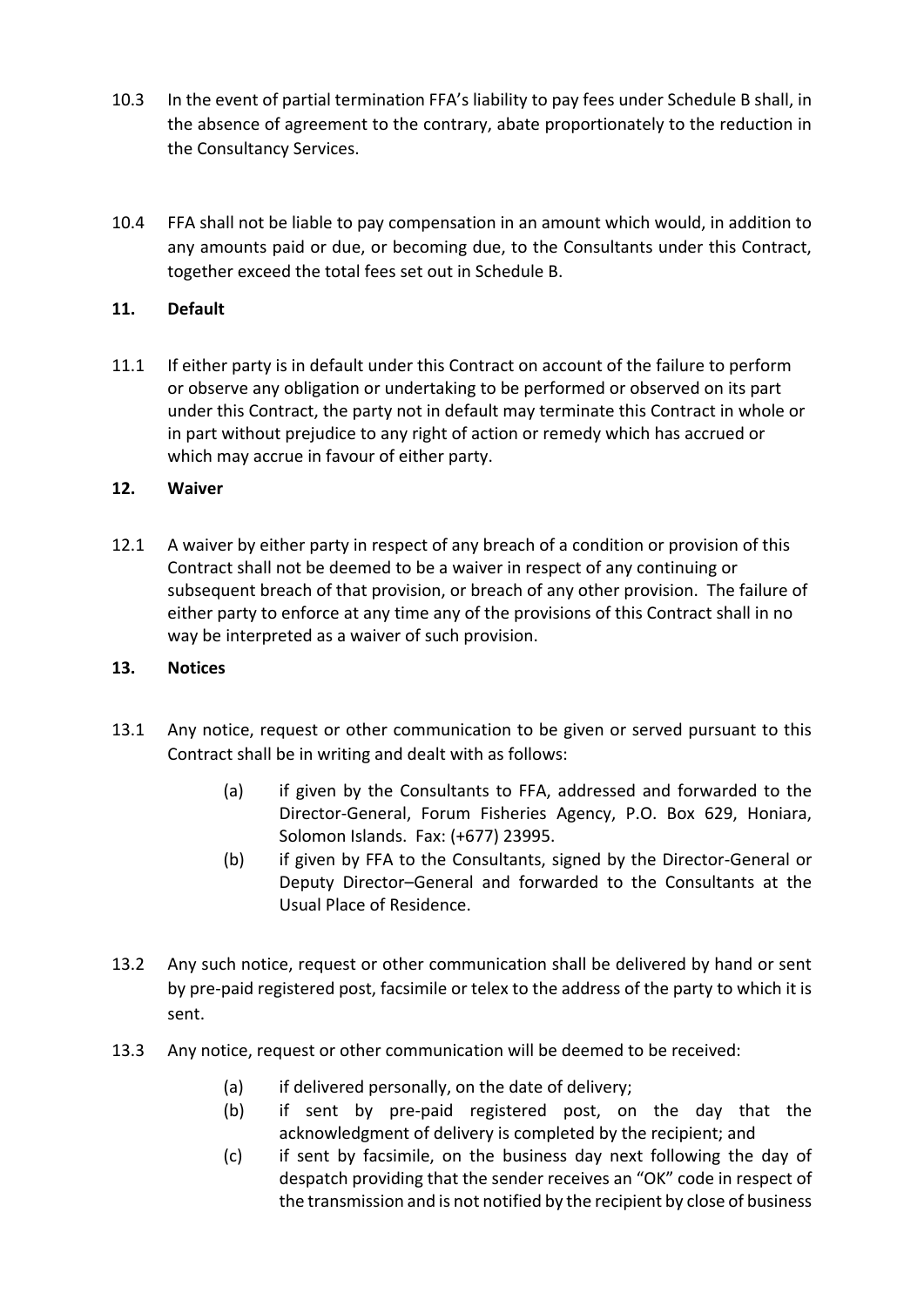- 10.3 In the event of partial termination FFA's liability to pay fees under Schedule B shall, in the absence of agreement to the contrary, abate proportionately to the reduction in the Consultancy Services.
- 10.4 FFA shall not be liable to pay compensation in an amount which would, in addition to any amounts paid or due, or becoming due, to the Consultants under this Contract, together exceed the total fees set out in Schedule B.

# **11. Default**

11.1 If either party is in default under this Contract on account of the failure to perform or observe any obligation or undertaking to be performed or observed on its part under this Contract, the party not in default may terminate this Contract in whole or in part without prejudice to any right of action or remedy which has accrued or which may accrue in favour of either party.

## **12. Waiver**

12.1 A waiver by either party in respect of any breach of a condition or provision of this Contract shall not be deemed to be a waiver in respect of any continuing or subsequent breach of that provision, or breach of any other provision. The failure of either party to enforce at any time any of the provisions of this Contract shall in no way be interpreted as a waiver of such provision.

## **13. Notices**

- 13.1 Any notice, request or other communication to be given or served pursuant to this Contract shall be in writing and dealt with as follows:
	- (a) if given by the Consultants to FFA, addressed and forwarded to the Director-General, Forum Fisheries Agency, P.O. Box 629, Honiara, Solomon Islands. Fax: (+677) 23995.
	- (b) if given by FFA to the Consultants, signed by the Director-General or Deputy Director–General and forwarded to the Consultants at the Usual Place of Residence.
- 13.2 Any such notice, request or other communication shall be delivered by hand or sent by pre-paid registered post, facsimile or telex to the address of the party to which it is sent.
- 13.3 Any notice, request or other communication will be deemed to be received:
	- (a) if delivered personally, on the date of delivery;
	- (b) if sent by pre-paid registered post, on the day that the acknowledgment of delivery is completed by the recipient; and
	- (c) if sent by facsimile, on the business day next following the day of despatch providing that the sender receives an "OK" code in respect of the transmission and is not notified by the recipient by close of business